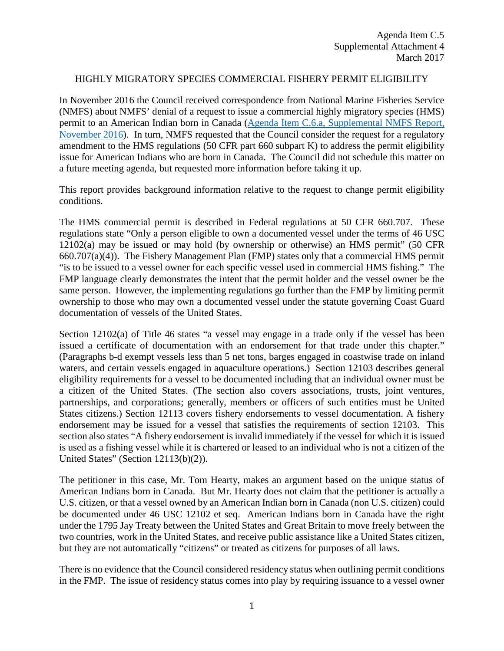## HIGHLY MIGRATORY SPECIES COMMERCIAL FISHERY PERMIT ELIGIBILITY

In November 2016 the Council received correspondence from National Marine Fisheries Service (NMFS) about NMFS' denial of a request to issue a commercial highly migratory species (HMS) permit to an American Indian born in Canada [\(Agenda Item C.6.a, Supplemental NMFS Report,](http://www.pcouncil.org/wp-content/uploads/2016/11/C6a_Sup_NMFS_Rpt_161031_Ltr_Hearty_HMS_PermitDenial_NOV2016BB.pdf)  [November 2016\)](http://www.pcouncil.org/wp-content/uploads/2016/11/C6a_Sup_NMFS_Rpt_161031_Ltr_Hearty_HMS_PermitDenial_NOV2016BB.pdf). In turn, NMFS requested that the Council consider the request for a regulatory amendment to the HMS regulations (50 CFR part 660 subpart K) to address the permit eligibility issue for American Indians who are born in Canada. The Council did not schedule this matter on a future meeting agenda, but requested more information before taking it up.

This report provides background information relative to the request to change permit eligibility conditions.

The HMS commercial permit is described in Federal regulations at 50 CFR 660.707. These regulations state "Only a person eligible to own a documented vessel under the terms of 46 USC 12102(a) may be issued or may hold (by ownership or otherwise) an HMS permit" (50 CFR 660.707(a)(4)). The Fishery Management Plan (FMP) states only that a commercial HMS permit "is to be issued to a vessel owner for each specific vessel used in commercial HMS fishing." The FMP language clearly demonstrates the intent that the permit holder and the vessel owner be the same person. However, the implementing regulations go further than the FMP by limiting permit ownership to those who may own a documented vessel under the statute governing Coast Guard documentation of vessels of the United States.

Section 12102(a) of Title 46 states "a vessel may engage in a trade only if the vessel has been issued a certificate of documentation with an endorsement for that trade under this chapter." (Paragraphs b-d exempt vessels less than 5 net tons, barges engaged in coastwise trade on inland waters, and certain vessels engaged in aquaculture operations.) Section 12103 describes general eligibility requirements for a vessel to be documented including that an individual owner must be a citizen of the United States. (The section also covers associations, trusts, joint ventures, partnerships, and corporations; generally, members or officers of such entities must be United States citizens.) Section 12113 covers fishery endorsements to vessel documentation. A fishery endorsement may be issued for a vessel that satisfies the requirements of section 12103. This section also states "A fishery endorsement is invalid immediately if the vessel for which it is issued is used as a fishing vessel while it is chartered or leased to an individual who is not a citizen of the United States" (Section 12113(b)(2)).

The petitioner in this case, Mr. Tom Hearty, makes an argument based on the unique status of American Indians born in Canada. But Mr. Hearty does not claim that the petitioner is actually a U.S. citizen, or that a vessel owned by an American Indian born in Canada (non U.S. citizen) could be documented under 46 USC 12102 et seq. American Indians born in Canada have the right under the 1795 Jay Treaty between the United States and Great Britain to move freely between the two countries, work in the United States, and receive public assistance like a United States citizen, but they are not automatically "citizens" or treated as citizens for purposes of all laws.

There is no evidence that the Council considered residency status when outlining permit conditions in the FMP. The issue of residency status comes into play by requiring issuance to a vessel owner